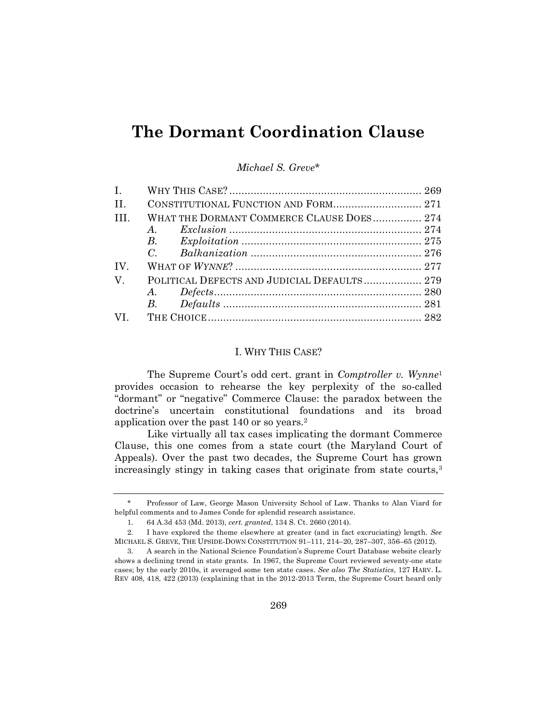# **The Dormant Coordination Clause**

*Michael S. Greve*\*

| $\mathbf{I}$ .                                             |  |
|------------------------------------------------------------|--|
| H.<br>CONSTITUTIONAL FUNCTION AND FORM 271                 |  |
| WHAT THE DORMANT COMMERCE CLAUSE DOES 274<br>TH.           |  |
|                                                            |  |
|                                                            |  |
|                                                            |  |
| IV.                                                        |  |
| POLITICAL DEFECTS AND JUDICIAL DEFAULTS 279<br>$V_{\cdot}$ |  |
|                                                            |  |
|                                                            |  |
|                                                            |  |

## I. WHY THIS CASE?

The Supreme Court's odd cert. grant in *Comptroller v. Wynne*<sup>1</sup> provides occasion to rehearse the key perplexity of the so-called "dormant" or "negative" Commerce Clause: the paradox between the doctrine's uncertain constitutional foundations and its broad application over the past 140 or so years.<sup>2</sup>

Like virtually all tax cases implicating the dormant Commerce Clause, this one comes from a state court (the Maryland Court of Appeals). Over the past two decades, the Supreme Court has grown increasingly stingy in taking cases that originate from state courts,<sup>3</sup>

<sup>\*</sup> Professor of Law, George Mason University School of Law. Thanks to Alan Viard for helpful comments and to James Conde for splendid research assistance.

<sup>1.</sup> 64 A.3d 453 (Md. 2013), *cert. granted*, 134 S. Ct. 2660 (2014).

<sup>2.</sup> I have explored the theme elsewhere at greater (and in fact excruciating) length. *See*  MICHAEL S. GREVE, THE UPSIDE-DOWN CONSTITUTION 91–111, 214–20, 287–307, 356–65 (2012).

<sup>3.</sup> A search in the National Science Foundation's Supreme Court Database website clearly shows a declining trend in state grants. In 1967, the Supreme Court reviewed seventy-one state cases; by the early 2010s, it averaged some ten state cases. *See also The Statistics*, 127 HARV. L. REV 408, 418, 422 (2013) (explaining that in the 2012-2013 Term, the Supreme Court heard only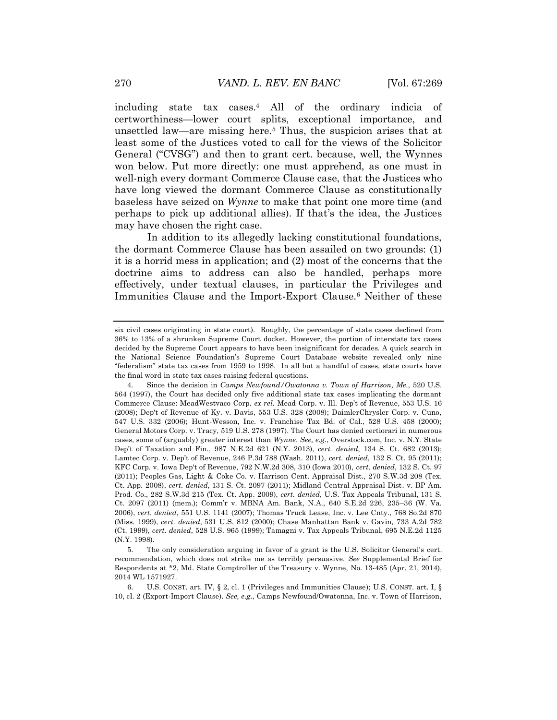including state tax cases.<sup>4</sup> All of the ordinary indicia of certworthiness—lower court splits, exceptional importance, and unsettled law—are missing here.<sup>5</sup> Thus, the suspicion arises that at least some of the Justices voted to call for the views of the Solicitor General ("CVSG") and then to grant cert. because, well, the Wynnes won below. Put more directly: one must apprehend, as one must in well-nigh every dormant Commerce Clause case, that the Justices who have long viewed the dormant Commerce Clause as constitutionally baseless have seized on *Wynne* to make that point one more time (and perhaps to pick up additional allies). If that's the idea, the Justices may have chosen the right case.

In addition to its allegedly lacking constitutional foundations, the dormant Commerce Clause has been assailed on two grounds: (1) it is a horrid mess in application; and (2) most of the concerns that the doctrine aims to address can also be handled, perhaps more effectively, under textual clauses, in particular the Privileges and Immunities Clause and the Import-Export Clause.<sup>6</sup> Neither of these

six civil cases originating in state court). Roughly, the percentage of state cases declined from 36% to 13% of a shrunken Supreme Court docket. However, the portion of interstate tax cases decided by the Supreme Court appears to have been insignificant for decades. A quick search in the National Science Foundation's Supreme Court Database website revealed only nine "federalism" state tax cases from 1959 to 1998. In all but a handful of cases, state courts have the final word in state tax cases raising federal questions.

<sup>4.</sup> Since the decision in *Camps Newfound/Owatonna v. Town of Harrison, Me.*, 520 U.S. 564 (1997), the Court has decided only five additional state tax cases implicating the dormant Commerce Clause: MeadWestvaco Corp. *ex rel.* Mead Corp. v. Ill. Dep't of Revenue, 553 U.S. 16 (2008); Dep't of Revenue of Ky. v. Davis, 553 U.S. 328 (2008); DaimlerChrysler Corp. v. Cuno, 547 U.S. 332 (2006); Hunt-Wesson, Inc. v. Franchise Tax Bd. of Cal., 528 U.S. 458 (2000); General Motors Corp. v. Tracy, 519 U.S. 278 (1997). The Court has denied certiorari in numerous cases, some of (arguably) greater interest than *Wynne*. *See, e.g.*, Overstock.com, Inc. v. N.Y. State Dep't of Taxation and Fin., 987 N.E.2d 621 (N.Y. 2013), *cert. denied*, 134 S. Ct. 682 (2013); Lamtec Corp. v. Dep't of Revenue, 246 P.3d 788 (Wash. 2011), *cert. denied*, 132 S. Ct. 95 (2011); KFC Corp. v. Iowa Dep't of Revenue, 792 N.W.2d 308, 310 (Iowa 2010), *cert. denied*, 132 S. Ct. 97 (2011); Peoples Gas, Light & Coke Co. v. Harrison Cent. Appraisal Dist., 270 S.W.3d 208 (Tex. Ct. App. 2008), *cert. denied,* 131 S. Ct. 2097 (2011); Midland Central Appraisal Dist. v. BP Am. Prod. Co., 282 S.W.3d 215 (Tex. Ct. App. 2009), *cert. denied*, U.S. Tax Appeals Tribunal, 131 S. Ct. 2097 (2011) (mem.); Comm'r v. MBNA Am. Bank, N.A., 640 S.E.2d 226, 235–36 (W. Va. 2006), *cert. denied*, 551 U.S. 1141 (2007); Thomas Truck Lease, Inc. v. Lee Cnty., 768 So.2d 870 (Miss. 1999), *cert. denied*, 531 U.S. 812 (2000); Chase Manhattan Bank v. Gavin*,* 733 A.2d 782 (Ct. 1999), *cert. denied*, 528 U.S. 965 (1999); Tamagni v. Tax Appeals Tribunal, 695 N.E.2d 1125 (N.Y. 1998).

<sup>5.</sup> The only consideration arguing in favor of a grant is the U.S. Solicitor General's cert. recommendation, which does not strike me as terribly persuasive. *See* Supplemental Brief for Respondents at \*2, Md. State Comptroller of the Treasury v. Wynne, No. 13-485 (Apr. 21, 2014), 2014 WL 1571927.

<sup>6.</sup> U.S. CONST. art. IV, § 2, cl. 1 (Privileges and Immunities Clause); U.S. CONST. art. I, § 10, cl. 2 (Export-Import Clause). *See, e.g.*, Camps Newfound/Owatonna, Inc. v. Town of Harrison,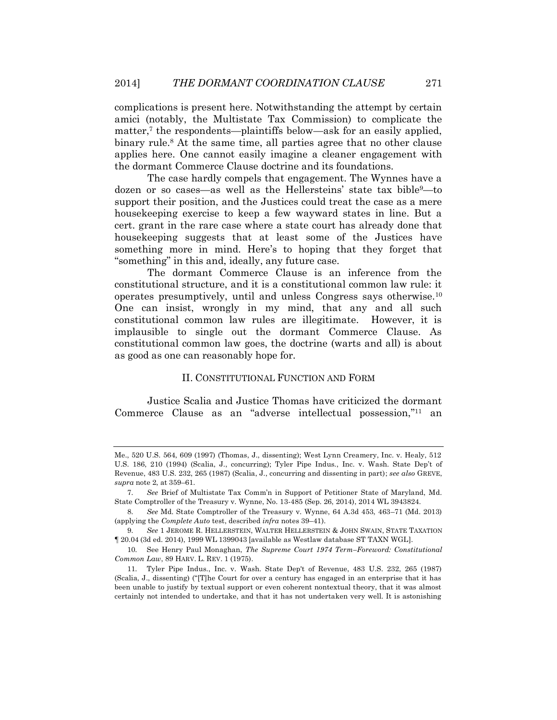complications is present here. Notwithstanding the attempt by certain amici (notably, the Multistate Tax Commission) to complicate the matter,<sup> $7$ </sup> the respondents—plaintiffs below—ask for an easily applied, binary rule.<sup>8</sup> At the same time, all parties agree that no other clause applies here. One cannot easily imagine a cleaner engagement with the dormant Commerce Clause doctrine and its foundations.

The case hardly compels that engagement. The Wynnes have a dozen or so cases—as well as the Hellersteins' state tax bible<sup>9</sup>—to support their position, and the Justices could treat the case as a mere housekeeping exercise to keep a few wayward states in line. But a cert. grant in the rare case where a state court has already done that housekeeping suggests that at least some of the Justices have something more in mind. Here's to hoping that they forget that "something" in this and, ideally, any future case.

The dormant Commerce Clause is an inference from the constitutional structure, and it is a constitutional common law rule: it operates presumptively, until and unless Congress says otherwise.<sup>10</sup> One can insist, wrongly in my mind, that any and all such constitutional common law rules are illegitimate. However, it is implausible to single out the dormant Commerce Clause. As constitutional common law goes, the doctrine (warts and all) is about as good as one can reasonably hope for.

#### II. CONSTITUTIONAL FUNCTION AND FORM

Justice Scalia and Justice Thomas have criticized the dormant Commerce Clause as an "adverse intellectual possession,"<sup>11</sup> an

Me., 520 U.S. 564, 609 (1997) (Thomas, J., dissenting); West Lynn Creamery, Inc. v. Healy, 512 U.S. 186, 210 (1994) (Scalia, J., concurring); Tyler Pipe Indus., Inc. v. Wash. State Dep't of Revenue, 483 U.S. 232, 265 (1987) (Scalia, J., concurring and dissenting in part); *see also* GREVE, *supra* note 2, at 359–61.

<sup>7.</sup> *See* Brief of Multistate Tax Comm'n in Support of Petitioner State of Maryland, Md. State Comptroller of the Treasury v. Wynne, No. 13-485 (Sep. 26, 2014), 2014 WL 3943824.

<sup>8.</sup> *See* Md. State Comptroller of the Treasury v. Wynne, 64 A.3d 453, 463–71 (Md. 2013) (applying the *Complete Auto* test, described *infra* notes 39–41).

<sup>9.</sup> *See* 1 JEROME R. HELLERSTEIN, WALTER HELLERSTEIN & JOHN SWAIN, STATE TAXATION ¶ 20.04 (3d ed. 2014), 1999 WL 1399043 [available as Westlaw database ST TAXN WGL].

<sup>10.</sup> See Henry Paul Monaghan, *The Supreme Court 1974 Term–Foreword: Constitutional Common Law*, 89 HARV. L. REV. 1 (1975).

<sup>11.</sup> Tyler Pipe Indus., Inc. v. Wash. State Dep't of Revenue, 483 U.S. 232, 265 (1987) (Scalia, J., dissenting) ("[T]he Court for over a century has engaged in an enterprise that it has been unable to justify by textual support or even coherent nontextual theory, that it was almost certainly not intended to undertake, and that it has not undertaken very well. It is astonishing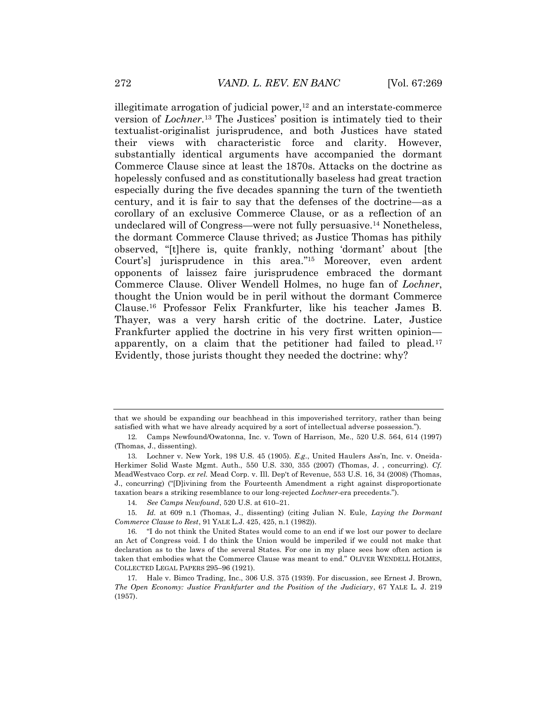illegitimate arrogation of judicial power, $12$  and an interstate-commerce version of *Lochner*. <sup>13</sup> The Justices' position is intimately tied to their textualist-originalist jurisprudence, and both Justices have stated their views with characteristic force and clarity. However, substantially identical arguments have accompanied the dormant Commerce Clause since at least the 1870s. Attacks on the doctrine as hopelessly confused and as constitutionally baseless had great traction especially during the five decades spanning the turn of the twentieth century, and it is fair to say that the defenses of the doctrine—as a corollary of an exclusive Commerce Clause, or as a reflection of an undeclared will of Congress—were not fully persuasive.<sup>14</sup> Nonetheless, the dormant Commerce Clause thrived; as Justice Thomas has pithily observed, "[t]here is, quite frankly, nothing 'dormant' about [the Court's] jurisprudence in this area." <sup>15</sup> Moreover, even ardent opponents of laissez faire jurisprudence embraced the dormant Commerce Clause. Oliver Wendell Holmes, no huge fan of *Lochner*, thought the Union would be in peril without the dormant Commerce Clause.<sup>16</sup> Professor Felix Frankfurter, like his teacher James B. Thayer, was a very harsh critic of the doctrine. Later, Justice Frankfurter applied the doctrine in his very first written opinion apparently, on a claim that the petitioner had failed to plead.<sup>17</sup> Evidently, those jurists thought they needed the doctrine: why?

that we should be expanding our beachhead in this impoverished territory, rather than being satisfied with what we have already acquired by a sort of intellectual adverse possession.").

<sup>12.</sup> Camps Newfound/Owatonna, Inc. v. Town of Harrison, Me., 520 U.S. 564, 614 (1997) (Thomas, J., dissenting).

<sup>13.</sup> Lochner v. New York, 198 U.S. 45 (1905). *E.g*., United Haulers Ass'n, Inc. v. Oneida-Herkimer Solid Waste Mgmt. Auth., 550 U.S. 330, 355 (2007) (Thomas, J. , concurring). *Cf.*  MeadWestvaco Corp. *ex rel.* Mead Corp. v. Ill. Dep't of Revenue, 553 U.S. 16, 34 (2008) (Thomas, J., concurring) ("[D]ivining from the Fourteenth Amendment a right against disproportionate taxation bears a striking resemblance to our long-rejected *Lochner*-era precedents.").

<sup>14.</sup> *See Camps Newfound*, 520 U.S. at 610–21.

<sup>15.</sup> *Id.* at 609 n.1 (Thomas, J., dissenting) (citing Julian N. Eule, *Laying the Dormant Commerce Clause to Rest*, 91 YALE L.J. 425, 425, n.1 (1982)).

<sup>16.</sup> "I do not think the United States would come to an end if we lost our power to declare an Act of Congress void. I do think the Union would be imperiled if we could not make that declaration as to the laws of the several States. For one in my place sees how often action is taken that embodies what the Commerce Clause was meant to end." OLIVER WENDELL HOLMES, COLLECTED LEGAL PAPERS 295–96 (1921).

<sup>17.</sup> Hale v. Bimco Trading, Inc., 306 U.S. 375 (1939). For discussion, see Ernest J. Brown, *The Open Economy: Justice Frankfurter and the Position of the Judiciary*, 67 YALE L. J. 219 (1957).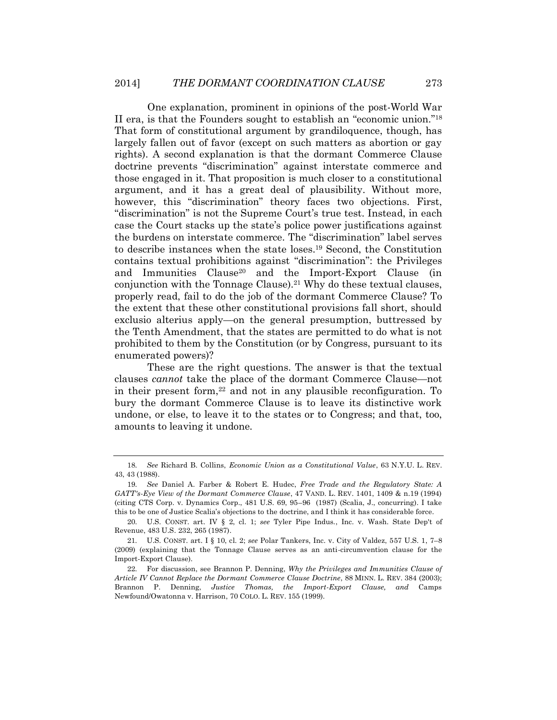One explanation, prominent in opinions of the post-World War II era, is that the Founders sought to establish an "economic union." 18 That form of constitutional argument by grandiloquence, though, has largely fallen out of favor (except on such matters as abortion or gay rights). A second explanation is that the dormant Commerce Clause doctrine prevents "discrimination" against interstate commerce and those engaged in it. That proposition is much closer to a constitutional argument, and it has a great deal of plausibility. Without more, however, this "discrimination" theory faces two objections. First, "discrimination" is not the Supreme Court's true test. Instead, in each case the Court stacks up the state's police power justifications against the burdens on interstate commerce. The "discrimination" label serves to describe instances when the state loses.<sup>19</sup> Second, the Constitution contains textual prohibitions against "discrimination": the Privileges and Immunities Clause<sup>20</sup> and the Import-Export Clause (in conjunction with the Tonnage Clause).<sup>21</sup> Why do these textual clauses, properly read, fail to do the job of the dormant Commerce Clause? To the extent that these other constitutional provisions fall short, should exclusio alterius apply—on the general presumption, buttressed by the Tenth Amendment, that the states are permitted to do what is not prohibited to them by the Constitution (or by Congress, pursuant to its enumerated powers)?

These are the right questions. The answer is that the textual clauses *cannot* take the place of the dormant Commerce Clause—not in their present form, $22$  and not in any plausible reconfiguration. To bury the dormant Commerce Clause is to leave its distinctive work undone, or else, to leave it to the states or to Congress; and that, too, amounts to leaving it undone.

<sup>18.</sup> *See* Richard B. Collins, *Economic Union as a Constitutional Value*, 63 N.Y.U. L. REV. 43, 43 (1988).

<sup>19.</sup> *See* Daniel A. Farber & Robert E. Hudec, *Free Trade and the Regulatory State: A GATT's-Eye View of the Dormant Commerce Clause*, 47 VAND. L. REV. 1401, 1409 & n.19 (1994) (citing CTS Corp. v. Dynamics Corp., 481 U.S. 69, 95–96 (1987) (Scalia, J., concurring). I take this to be one of Justice Scalia's objections to the doctrine, and I think it has considerable force.

<sup>20.</sup> U.S. CONST. art. IV § 2, cl. 1; *see* Tyler Pipe Indus., Inc. v. Wash. State Dep't of Revenue, 483 U.S. 232, 265 (1987).

<sup>21.</sup> U.S. CONST. art. I § 10, cl. 2; *see* Polar Tankers, Inc. v. City of Valdez, 557 U.S. 1, 7–8 (2009) (explaining that the Tonnage Clause serves as an anti-circumvention clause for the Import-Export Clause).

<sup>22.</sup> For discussion, see Brannon P. Denning, *Why the Privileges and Immunities Clause of Article IV Cannot Replace the Dormant Commerce Clause Doctrine*, 88 MINN. L. REV. 384 (2003); Brannon P. Denning, *Justice Thomas, the Import-Export Clause, and* Camps Newfound/Owatonna v. Harrison, 70 COLO. L. REV. 155 (1999).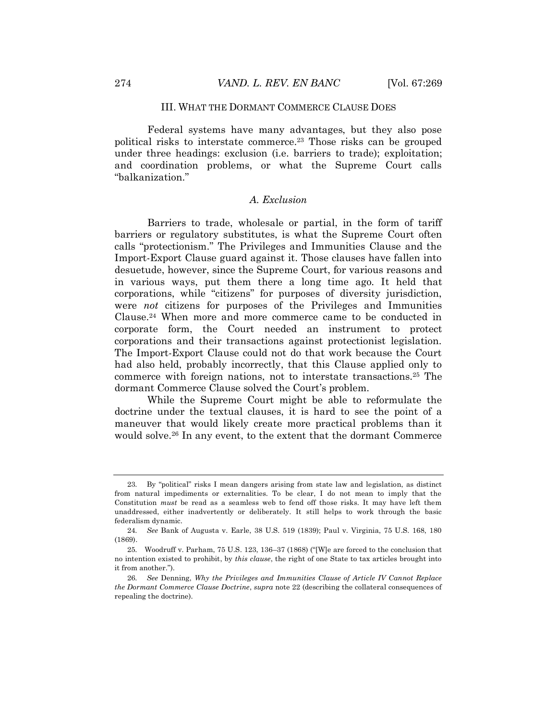#### III. WHAT THE DORMANT COMMERCE CLAUSE DOES

Federal systems have many advantages, but they also pose political risks to interstate commerce.<sup>23</sup> Those risks can be grouped under three headings: exclusion (i.e. barriers to trade); exploitation; and coordination problems, or what the Supreme Court calls "balkanization."

## *A. Exclusion*

Barriers to trade, wholesale or partial, in the form of tariff barriers or regulatory substitutes, is what the Supreme Court often calls "protectionism." The Privileges and Immunities Clause and the Import-Export Clause guard against it. Those clauses have fallen into desuetude, however, since the Supreme Court, for various reasons and in various ways, put them there a long time ago. It held that corporations, while "citizens" for purposes of diversity jurisdiction, were *not* citizens for purposes of the Privileges and Immunities Clause.<sup>24</sup> When more and more commerce came to be conducted in corporate form, the Court needed an instrument to protect corporations and their transactions against protectionist legislation. The Import-Export Clause could not do that work because the Court had also held, probably incorrectly, that this Clause applied only to commerce with foreign nations, not to interstate transactions.<sup>25</sup> The dormant Commerce Clause solved the Court's problem.

While the Supreme Court might be able to reformulate the doctrine under the textual clauses, it is hard to see the point of a maneuver that would likely create more practical problems than it would solve.<sup>26</sup> In any event, to the extent that the dormant Commerce

<sup>23.</sup> By "political" risks I mean dangers arising from state law and legislation, as distinct from natural impediments or externalities. To be clear, I do not mean to imply that the Constitution *must* be read as a seamless web to fend off those risks. It may have left them unaddressed, either inadvertently or deliberately. It still helps to work through the basic federalism dynamic.

<sup>24.</sup> *See* Bank of Augusta v. Earle, 38 U.S. 519 (1839); Paul v. Virginia, 75 U.S. 168, 180 (1869).

<sup>25.</sup> Woodruff v. Parham, 75 U.S. 123, 136–37 (1868) ("[W]e are forced to the conclusion that no intention existed to prohibit, by *this clause*, the right of one State to tax articles brought into it from another.").

<sup>26.</sup> *See* Denning, *Why the Privileges and Immunities Clause of Article IV Cannot Replace the Dormant Commerce Clause Doctrine*, *supra* note 22 (describing the collateral consequences of repealing the doctrine).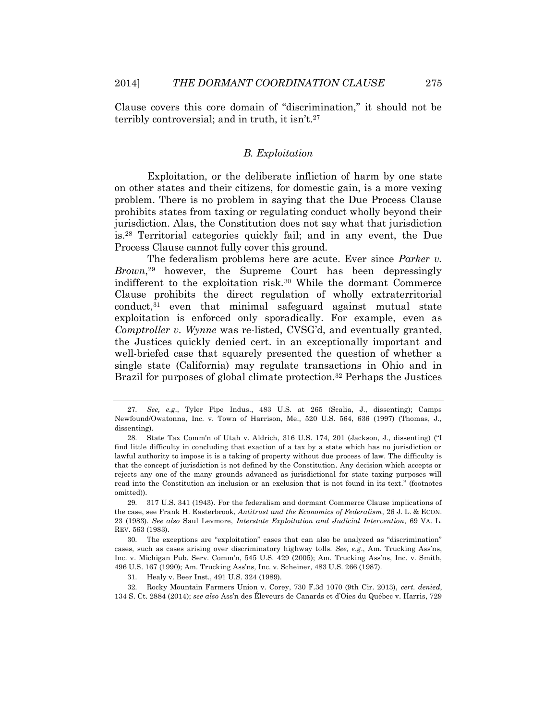Clause covers this core domain of "discrimination," it should not be terribly controversial; and in truth, it isn't.<sup>27</sup>

### *B. Exploitation*

Exploitation, or the deliberate infliction of harm by one state on other states and their citizens, for domestic gain, is a more vexing problem. There is no problem in saying that the Due Process Clause prohibits states from taxing or regulating conduct wholly beyond their jurisdiction. Alas, the Constitution does not say what that jurisdiction is.<sup>28</sup> Territorial categories quickly fail; and in any event, the Due Process Clause cannot fully cover this ground.

The federalism problems here are acute. Ever since *Parker v. Brown*, <sup>29</sup> however, the Supreme Court has been depressingly indifferent to the exploitation risk.<sup>30</sup> While the dormant Commerce Clause prohibits the direct regulation of wholly extraterritorial  $\alpha$  conduct,<sup>31</sup> even that minimal safeguard against mutual state exploitation is enforced only sporadically. For example, even as *Comptroller v. Wynne* was re-listed, CVSG'd, and eventually granted, the Justices quickly denied cert. in an exceptionally important and well-briefed case that squarely presented the question of whether a single state (California) may regulate transactions in Ohio and in Brazil for purposes of global climate protection. <sup>32</sup> Perhaps the Justices

<sup>27.</sup> *See, e.g*., Tyler Pipe Indus., 483 U.S. at 265 (Scalia, J., dissenting); Camps Newfound/Owatonna, Inc. v. Town of Harrison, Me., 520 U.S. 564, 636 (1997) (Thomas, J., dissenting).

<sup>28.</sup> State Tax Comm'n of Utah v. Aldrich, 316 U.S. 174, 201 (Jackson, J., dissenting) ("I find little difficulty in concluding that exaction of a tax by a state which has no jurisdiction or lawful authority to impose it is a taking of property without due process of law. The difficulty is that the concept of jurisdiction is not defined by the Constitution. Any decision which accepts or rejects any one of the many grounds advanced as jurisdictional for state taxing purposes will read into the Constitution an inclusion or an exclusion that is not found in its text." (footnotes omitted)).

<sup>29.</sup> 317 U.S. 341 (1943). For the federalism and dormant Commerce Clause implications of the case, see Frank H. Easterbrook, *Antitrust and the Economics of Federalism*, 26 J. L. & ECON. 23 (1983). *See also* Saul Levmore, *Interstate Exploitation and Judicial Intervention*, 69 VA. L. REV. 563 (1983).

<sup>30.</sup> The exceptions are "exploitation" cases that can also be analyzed as "discrimination" cases, such as cases arising over discriminatory highway tolls. *See, e.g*., Am. Trucking Ass'ns, Inc. v. Michigan Pub. Serv. Comm'n, 545 U.S. 429 (2005); Am. Trucking Ass'ns, Inc. v. Smith, 496 U.S. 167 (1990); Am. Trucking Ass'ns, Inc. v. Scheiner, 483 U.S. 266 (1987).

<sup>31.</sup> Healy v. Beer Inst., 491 U.S. 324 (1989).

<sup>32.</sup> Rocky Mountain Farmers Union v. Corey, 730 F.3d 1070 (9th Cir. 2013), *cert. denied*, 134 S. Ct. 2884 (2014); *see also* Ass'n des Éleveurs de Canards et d'Oies du Québec v. Harris, 729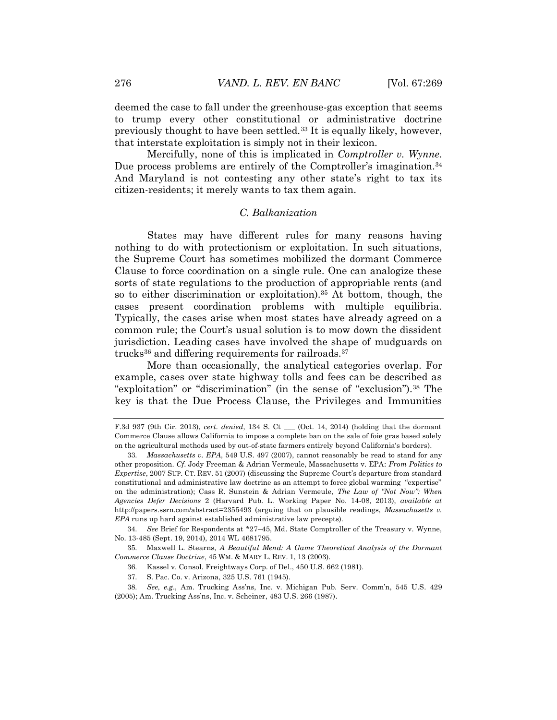deemed the case to fall under the greenhouse-gas exception that seems to trump every other constitutional or administrative doctrine previously thought to have been settled.<sup>33</sup> It is equally likely, however, that interstate exploitation is simply not in their lexicon.

Mercifully, none of this is implicated in *Comptroller v. Wynne*. Due process problems are entirely of the Comptroller's imagination.<sup>34</sup> And Maryland is not contesting any other state's right to tax its citizen-residents; it merely wants to tax them again.

## *C. Balkanization*

States may have different rules for many reasons having nothing to do with protectionism or exploitation. In such situations, the Supreme Court has sometimes mobilized the dormant Commerce Clause to force coordination on a single rule. One can analogize these sorts of state regulations to the production of appropriable rents (and so to either discrimination or exploitation).<sup>35</sup> At bottom, though, the cases present coordination problems with multiple equilibria. Typically, the cases arise when most states have already agreed on a common rule; the Court's usual solution is to mow down the dissident jurisdiction. Leading cases have involved the shape of mudguards on trucks $36$  and differing requirements for railroads.  $37$ 

More than occasionally, the analytical categories overlap. For example, cases over state highway tolls and fees can be described as "exploitation" or "discrimination" (in the sense of "exclusion").<sup>38</sup> The key is that the Due Process Clause, the Privileges and Immunities

34. *See* Brief for Respondents at \*27–45, Md. State Comptroller of the Treasury v. Wynne, No. 13-485 (Sept. 19, 2014), 2014 WL 4681795.

35. Maxwell L. Stearns, *A Beautiful Mend: A Game Theoretical Analysis of the Dormant Commerce Clause Doctrine*, 45 WM. & MARY L. REV. 1, 13 (2003).

36. Kassel v. Consol. Freightways Corp. of Del., 450 U.S. 662 (1981).

37. S. Pac. Co. v. Arizona, 325 U.S. 761 (1945).

38. *See, e.g*., Am. Trucking Ass'ns, Inc. v. Michigan Pub. Serv. Comm'n, 545 U.S. 429 (2005); Am. Trucking Ass'ns, Inc. v. Scheiner, 483 U.S. 266 (1987).

F.3d 937 (9th Cir. 2013), *cert. denied*, 134 S. Ct \_\_\_ (Oct. 14, 2014) (holding that the dormant Commerce Clause allows California to impose a complete ban on the sale of foie gras based solely on the agricultural methods used by out-of-state farmers entirely beyond California's borders).

<sup>33.</sup> *Massachusetts v. EPA*, 549 U.S. 497 (2007), cannot reasonably be read to stand for any other proposition. *Cf*. Jody Freeman & Adrian Vermeule, Massachusetts v. EPA: *From Politics to Expertise*, 2007 SUP. CT. REV. 51 (2007) (discussing the Supreme Court's departure from standard constitutional and administrative law doctrine as an attempt to force global warming "expertise" on the administration); Cass R. Sunstein & Adrian Vermeule, *The Law of "Not Now": When Agencies Defer Decisions* 2 (Harvard Pub. L. Working Paper No. 14-08, 2013), *available at* http://papers.ssrn.com/abstract=2355493 (arguing that on plausible readings, *Massachusetts v. EPA* runs up hard against established administrative law precepts).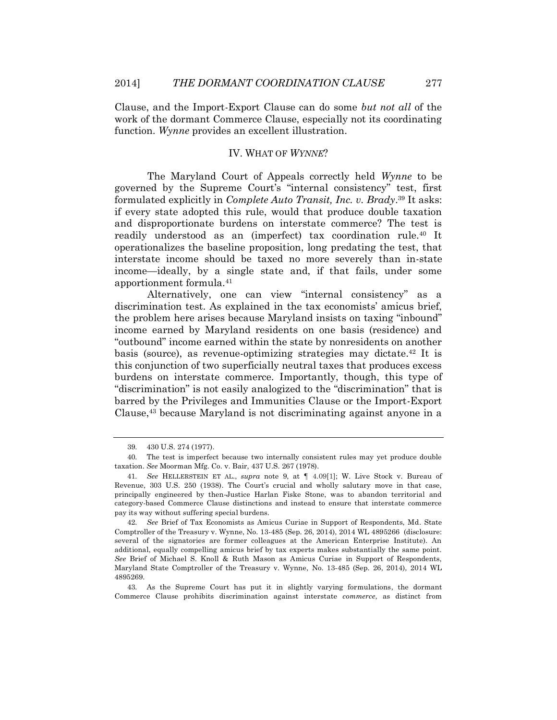Clause, and the Import-Export Clause can do some *but not all* of the work of the dormant Commerce Clause, especially not its coordinating function. *Wynne* provides an excellent illustration.

#### IV. WHAT OF *WYNNE*?

The Maryland Court of Appeals correctly held *Wynne* to be governed by the Supreme Court's "internal consistency" test, first formulated explicitly in *Complete Auto Transit, Inc. v. Brady*. <sup>39</sup> It asks: if every state adopted this rule, would that produce double taxation and disproportionate burdens on interstate commerce? The test is readily understood as an (imperfect) tax coordination rule.<sup>40</sup> It operationalizes the baseline proposition, long predating the test, that interstate income should be taxed no more severely than in-state income—ideally, by a single state and, if that fails, under some apportionment formula.<sup>41</sup>

Alternatively, one can view "internal consistency" as a discrimination test. As explained in the tax economists' amicus brief, the problem here arises because Maryland insists on taxing "inbound" income earned by Maryland residents on one basis (residence) and "outbound" income earned within the state by nonresidents on another basis (source), as revenue-optimizing strategies may dictate.<sup>42</sup> It is this conjunction of two superficially neutral taxes that produces excess burdens on interstate commerce. Importantly, though, this type of "discrimination" is not easily analogized to the "discrimination" that is barred by the Privileges and Immunities Clause or the Import-Export Clause, <sup>43</sup> because Maryland is not discriminating against anyone in a

<sup>39.</sup> 430 U.S. 274 (1977).

<sup>40.</sup> The test is imperfect because two internally consistent rules may yet produce double taxation. *See* Moorman Mfg. Co. v. Bair, 437 U.S. 267 (1978).

<sup>41.</sup> *See* HELLERSTEIN ET AL., *supra* note 9, at ¶ 4.09[1]; W. Live Stock v. Bureau of Revenue, 303 U.S. 250 (1938). The Court's crucial and wholly salutary move in that case, principally engineered by then-Justice Harlan Fiske Stone, was to abandon territorial and category-based Commerce Clause distinctions and instead to ensure that interstate commerce pay its way without suffering special burdens.

<sup>42.</sup> *See* Brief of Tax Economists as Amicus Curiae in Support of Respondents, Md. State Comptroller of the Treasury v. Wynne, No. 13-485 (Sep. 26, 2014), 2014 WL 4895266 (disclosure: several of the signatories are former colleagues at the American Enterprise Institute). An additional, equally compelling amicus brief by tax experts makes substantially the same point. *See* Brief of Michael S. Knoll & Ruth Mason as Amicus Curiae in Support of Respondents, Maryland State Comptroller of the Treasury v. Wynne, No. 13-485 (Sep. 26, 2014), 2014 WL 4895269.

<sup>43.</sup> As the Supreme Court has put it in slightly varying formulations, the dormant Commerce Clause prohibits discrimination against interstate *commerce*, as distinct from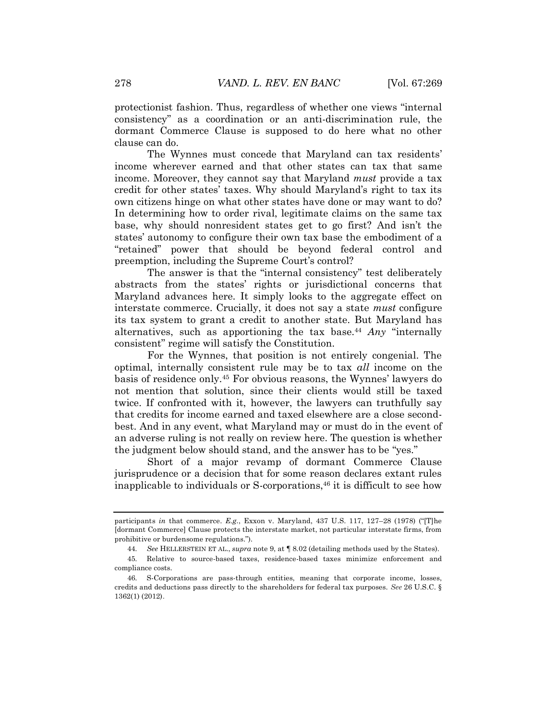protectionist fashion. Thus, regardless of whether one views "internal consistency" as a coordination or an anti-discrimination rule, the dormant Commerce Clause is supposed to do here what no other clause can do.

The Wynnes must concede that Maryland can tax residents' income wherever earned and that other states can tax that same income. Moreover, they cannot say that Maryland *must* provide a tax credit for other states' taxes. Why should Maryland's right to tax its own citizens hinge on what other states have done or may want to do? In determining how to order rival, legitimate claims on the same tax base, why should nonresident states get to go first? And isn't the states' autonomy to configure their own tax base the embodiment of a "retained" power that should be beyond federal control and preemption, including the Supreme Court's control?

The answer is that the "internal consistency" test deliberately abstracts from the states' rights or jurisdictional concerns that Maryland advances here. It simply looks to the aggregate effect on interstate commerce. Crucially, it does not say a state *must* configure its tax system to grant a credit to another state. But Maryland has alternatives, such as apportioning the tax base.<sup>44</sup> *Any* "internally consistent" regime will satisfy the Constitution.

For the Wynnes, that position is not entirely congenial. The optimal, internally consistent rule may be to tax *all* income on the basis of residence only.<sup>45</sup> For obvious reasons, the Wynnes' lawyers do not mention that solution, since their clients would still be taxed twice. If confronted with it, however, the lawyers can truthfully say that credits for income earned and taxed elsewhere are a close secondbest. And in any event, what Maryland may or must do in the event of an adverse ruling is not really on review here. The question is whether the judgment below should stand, and the answer has to be "yes."

Short of a major revamp of dormant Commerce Clause jurisprudence or a decision that for some reason declares extant rules inapplicable to individuals or  $S$ -corporations,<sup>46</sup> it is difficult to see how

participants *in* that commerce. *E.g*., Exxon v. Maryland, 437 U.S. 117, 127–28 (1978) ("[T]he [dormant Commerce] Clause protects the interstate market, not particular interstate firms, from prohibitive or burdensome regulations.").

<sup>44.</sup> *See* HELLERSTEIN ET AL., *supra* note 9, at ¶ 8.02 (detailing methods used by the States).

<sup>45.</sup> Relative to source-based taxes, residence-based taxes minimize enforcement and compliance costs.

<sup>46.</sup> S-Corporations are pass-through entities, meaning that corporate income, losses, credits and deductions pass directly to the shareholders for federal tax purposes. *See* [26 U.S.C. §](https://a.next.westlaw.com/Link/Document/FullText?findType=L&pubNum=1000546&cite=26USCAS1362&originatingDoc=I241702a1696411e2900d8cbbe5df030a&refType=LQ&originationContext=document&transitionType=DocumentItem&contextData=(sc.Keycite))  [1362\(1\)](https://a.next.westlaw.com/Link/Document/FullText?findType=L&pubNum=1000546&cite=26USCAS1362&originatingDoc=I241702a1696411e2900d8cbbe5df030a&refType=LQ&originationContext=document&transitionType=DocumentItem&contextData=(sc.Keycite)) (2012).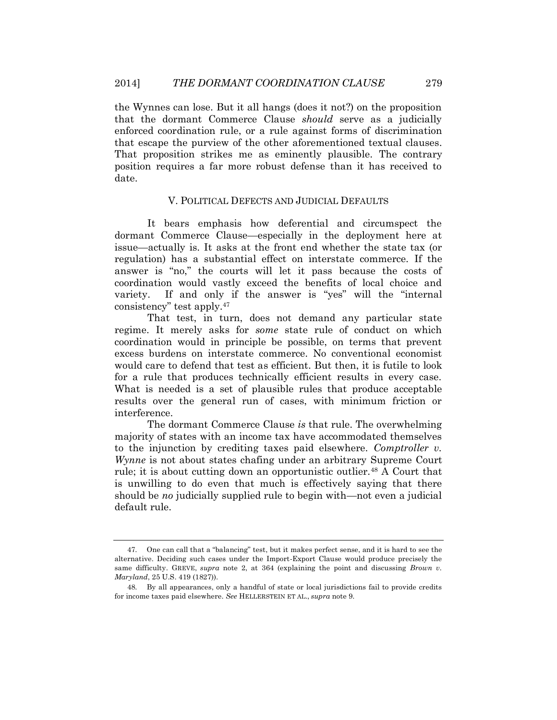the Wynnes can lose. But it all hangs (does it not?) on the proposition that the dormant Commerce Clause *should* serve as a judicially enforced coordination rule, or a rule against forms of discrimination that escape the purview of the other aforementioned textual clauses. That proposition strikes me as eminently plausible. The contrary position requires a far more robust defense than it has received to date.

#### V. POLITICAL DEFECTS AND JUDICIAL DEFAULTS

It bears emphasis how deferential and circumspect the dormant Commerce Clause—especially in the deployment here at issue—actually is. It asks at the front end whether the state tax (or regulation) has a substantial effect on interstate commerce. If the answer is "no," the courts will let it pass because the costs of coordination would vastly exceed the benefits of local choice and variety. If and only if the answer is "yes" will the "internal consistency" test apply. 47

That test, in turn, does not demand any particular state regime. It merely asks for *some* state rule of conduct on which coordination would in principle be possible, on terms that prevent excess burdens on interstate commerce. No conventional economist would care to defend that test as efficient. But then, it is futile to look for a rule that produces technically efficient results in every case. What is needed is a set of plausible rules that produce acceptable results over the general run of cases, with minimum friction or interference.

The dormant Commerce Clause *is* that rule. The overwhelming majority of states with an income tax have accommodated themselves to the injunction by crediting taxes paid elsewhere. *Comptroller v. Wynne* is not about states chafing under an arbitrary Supreme Court rule; it is about cutting down an opportunistic outlier.<sup>48</sup> A Court that is unwilling to do even that much is effectively saying that there should be *no* judicially supplied rule to begin with—not even a judicial default rule.

<sup>47.</sup> One can call that a "balancing" test, but it makes perfect sense, and it is hard to see the alternative. Deciding such cases under the Import-Export Clause would produce precisely the same difficulty. GREVE, *supra* note 2, at 364 (explaining the point and discussing *Brown v. Maryland*, 25 U.S. 419 (1827)).

<sup>48.</sup> By all appearances, only a handful of state or local jurisdictions fail to provide credits for income taxes paid elsewhere. *See* HELLERSTEIN ET AL., *supra* note 9.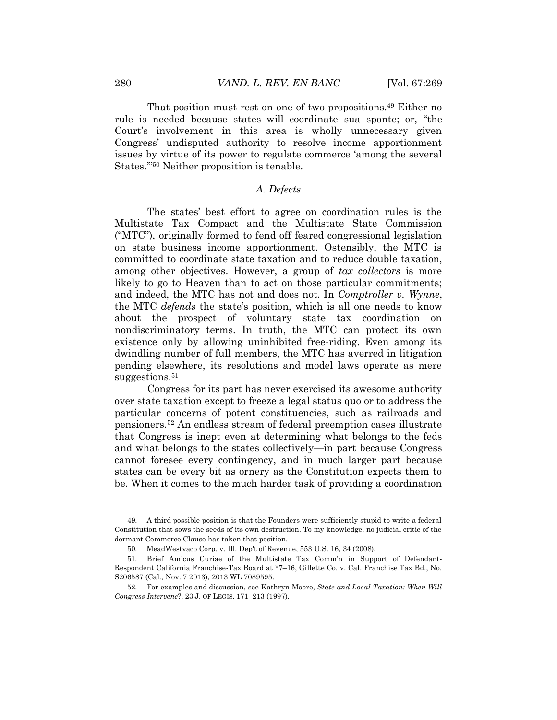That position must rest on one of two propositions.<sup>49</sup> Either no rule is needed because states will coordinate sua sponte; or, "the Court's involvement in this area is wholly unnecessary given Congress' undisputed authority to resolve income apportionment issues by virtue of its power to regulate commerce 'among the several States.'" <sup>50</sup> Neither proposition is tenable.

## *A. Defects*

The states' best effort to agree on coordination rules is the Multistate Tax Compact and the Multistate State Commission ("MTC"), originally formed to fend off feared congressional legislation on state business income apportionment. Ostensibly, the MTC is committed to coordinate state taxation and to reduce double taxation, among other objectives. However, a group of *tax collectors* is more likely to go to Heaven than to act on those particular commitments; and indeed, the MTC has not and does not. In *Comptroller v. Wynne*, the MTC *defends* the state's position, which is all one needs to know about the prospect of voluntary state tax coordination on nondiscriminatory terms. In truth, the MTC can protect its own existence only by allowing uninhibited free-riding. Even among its dwindling number of full members, the MTC has averred in litigation pending elsewhere, its resolutions and model laws operate as mere suggestions.<sup>51</sup>

Congress for its part has never exercised its awesome authority over state taxation except to freeze a legal status quo or to address the particular concerns of potent constituencies, such as railroads and pensioners. <sup>52</sup> An endless stream of federal preemption cases illustrate that Congress is inept even at determining what belongs to the feds and what belongs to the states collectively—in part because Congress cannot foresee every contingency, and in much larger part because states can be every bit as ornery as the Constitution expects them to be. When it comes to the much harder task of providing a coordination

<sup>49.</sup> A third possible position is that the Founders were sufficiently stupid to write a federal Constitution that sows the seeds of its own destruction. To my knowledge, no judicial critic of the dormant Commerce Clause has taken that position.

<sup>50.</sup> MeadWestvaco Corp. v. Ill. Dep't of Revenue, 553 U.S. 16, 34 (2008).

<sup>51.</sup> Brief Amicus Curiae of the Multistate Tax Comm'n in Support of Defendant-Respondent California Franchise-Tax Board at \*7–16, Gillette Co. v. Cal. Franchise Tax Bd., No. S206587 (Cal., Nov. 7 2013), 2013 WL 7089595.

<sup>52.</sup> For examples and discussion, see Kathryn Moore, *State and Local Taxation: When Will Congress Intervene*?, 23 J. OF LEGIS. 171–213 (1997).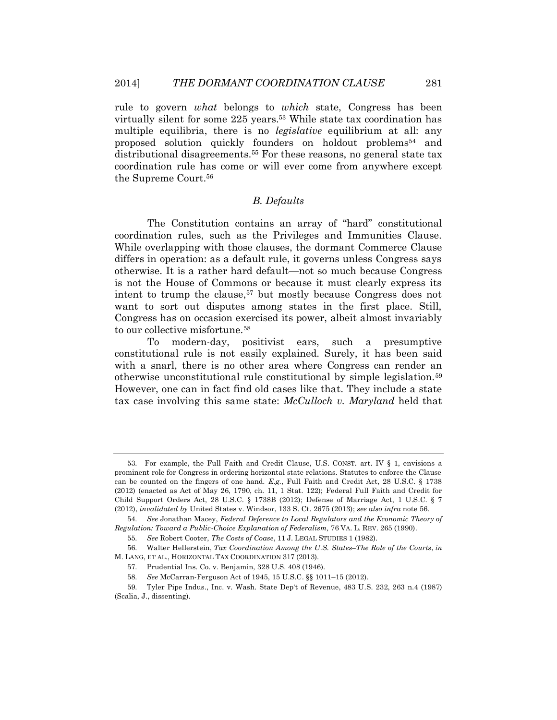rule to govern *what* belongs to *which* state, Congress has been virtually silent for some 225 years.<sup>53</sup> While state tax coordination has multiple equilibria, there is no *legislative* equilibrium at all: any proposed solution quickly founders on holdout problems<sup>54</sup> and distributional disagreements.<sup>55</sup> For these reasons, no general state tax coordination rule has come or will ever come from anywhere except the Supreme Court.<sup>56</sup>

# *B. Defaults*

The Constitution contains an array of "hard" constitutional coordination rules, such as the Privileges and Immunities Clause. While overlapping with those clauses, the dormant Commerce Clause differs in operation: as a default rule, it governs unless Congress says otherwise. It is a rather hard default—not so much because Congress is not the House of Commons or because it must clearly express its intent to trump the clause,<sup>57</sup> but mostly because Congress does not want to sort out disputes among states in the first place. Still, Congress has on occasion exercised its power, albeit almost invariably to our collective misfortune.<sup>58</sup>

To modern-day, positivist ears, such a presumptive constitutional rule is not easily explained. Surely, it has been said with a snarl, there is no other area where Congress can render an otherwise unconstitutional rule constitutional by simple legislation.<sup>59</sup> However, one can in fact find old cases like that. They include a state tax case involving this same state: *McCulloch v. Maryland* held that

<sup>53.</sup> For example, the Full Faith and Credit Clause, U.S. CONST. art. IV § 1, envisions a prominent role for Congress in ordering horizontal state relations. Statutes to enforce the Clause can be counted on the fingers of one hand. *E.g.*, Full Faith and Credit Act, 28 U.S.C. § 1738 (2012) (enacted as Act of May 26, 1790, ch. 11, 1 Stat. 122); Federal Full Faith and Credit for Child Support Orders Act, 28 U.S.C. § 1738B (2012); Defense of Marriage Act, 1 U.S.C. § 7 (2012), *invalidated by* United States v. Windsor, 133 S. Ct. 2675 (2013); *see also infra* note 56.

<sup>54.</sup> *See* Jonathan Macey, *Federal Deference to Local Regulators and the Economic Theory of Regulation: Toward a Public-Choice Explanation of Federalism,* 76 VA. L. REV. 265 (1990).

<sup>55.</sup> *See* Robert Cooter, *The Costs of Coase*, 11 J. LEGAL STUDIES 1 (1982).

<sup>56.</sup> Walter Hellerstein, *Tax Coordination Among the U.S. States–The Role of the Courts*, *in* M. LANG, ET AL., HORIZONTAL TAX COORDINATION 317 (2013).

<sup>57.</sup> Prudential Ins. Co. v. Benjamin, 328 U.S. 408 (1946).

<sup>58.</sup> *See* McCarran-Ferguson Act of 1945, 15 U.S.C. §§ 1011–15 (2012).

<sup>59.</sup> Tyler Pipe Indus., Inc. v. Wash. State Dep't of Revenue, 483 U.S. 232, 263 n.4 (1987) (Scalia, J., dissenting).